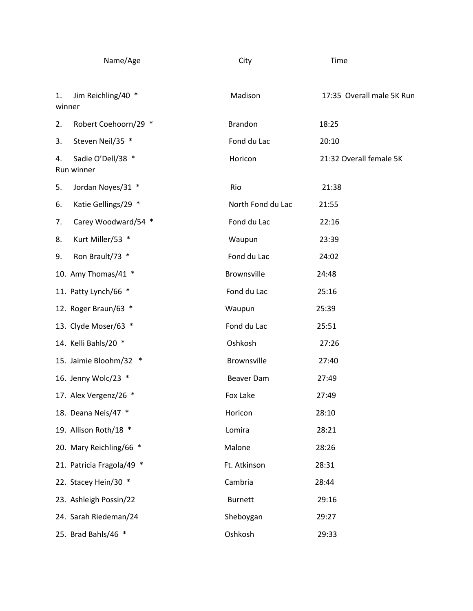| Name/Age                              | City               | Time                      |
|---------------------------------------|--------------------|---------------------------|
| Jim Reichling/40 *<br>1.<br>winner    | Madison            | 17:35 Overall male 5K Run |
| Robert Coehoorn/29 *<br>2.            | <b>Brandon</b>     | 18:25                     |
| Steven Neil/35 *<br>3.                | Fond du Lac        | 20:10                     |
| Sadie O'Dell/38 *<br>4.<br>Run winner | Horicon            | 21:32 Overall female 5K   |
| Jordan Noyes/31 *<br>5.               | Rio                | 21:38                     |
| Katie Gellings/29 *<br>6.             | North Fond du Lac  | 21:55                     |
| Carey Woodward/54 *<br>7.             | Fond du Lac        | 22:16                     |
| Kurt Miller/53 *<br>8.                | Waupun             | 23:39                     |
| Ron Brault/73 *<br>9.                 | Fond du Lac        | 24:02                     |
| 10. Amy Thomas/41 *                   | <b>Brownsville</b> | 24:48                     |
| 11. Patty Lynch/66 *                  | Fond du Lac        | 25:16                     |
| 12. Roger Braun/63 *                  | Waupun             | 25:39                     |
| 13. Clyde Moser/63 *                  | Fond du Lac        | 25:51                     |
| 14. Kelli Bahls/20 *                  | Oshkosh            | 27:26                     |
| 15. Jaimie Bloohm/32 *                | <b>Brownsville</b> | 27:40                     |
| 16. Jenny Wolc/23 *                   | Beaver Dam         | 27:49                     |
| 17. Alex Vergenz/26 *                 | Fox Lake           | 27:49                     |
| 18. Deana Neis/47 *                   | Horicon            | 28:10                     |
| 19. Allison Roth/18 *                 | Lomira             | 28:21                     |
| 20. Mary Reichling/66 *               | Malone             | 28:26                     |
| 21. Patricia Fragola/49 *             | Ft. Atkinson       | 28:31                     |
| 22. Stacey Hein/30 *                  | Cambria            | 28:44                     |
| 23. Ashleigh Possin/22                | <b>Burnett</b>     | 29:16                     |
| 24. Sarah Riedeman/24                 | Sheboygan          | 29:27                     |
| 25. Brad Bahls/46 *                   | Oshkosh            | 29:33                     |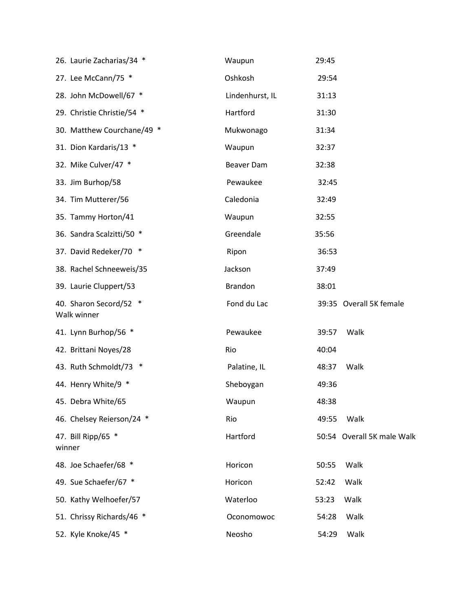| 26. Laurie Zacharias/34 *             | Waupun          | 29:45 |                            |
|---------------------------------------|-----------------|-------|----------------------------|
| 27. Lee McCann/75 *                   | Oshkosh         | 29:54 |                            |
| 28. John McDowell/67 *                | Lindenhurst, IL | 31:13 |                            |
| 29. Christie Christie/54 *            | Hartford        | 31:30 |                            |
| 30. Matthew Courchane/49 *            | Mukwonago       | 31:34 |                            |
| 31. Dion Kardaris/13 *                | Waupun          | 32:37 |                            |
| 32. Mike Culver/47 *                  | Beaver Dam      | 32:38 |                            |
| 33. Jim Burhop/58                     | Pewaukee        | 32:45 |                            |
| 34. Tim Mutterer/56                   | Caledonia       | 32:49 |                            |
| 35. Tammy Horton/41                   | Waupun          | 32:55 |                            |
| 36. Sandra Scalzitti/50 *             | Greendale       | 35:56 |                            |
| 37. David Redeker/70 *                | Ripon           | 36:53 |                            |
| 38. Rachel Schneeweis/35              | Jackson         | 37:49 |                            |
| 39. Laurie Cluppert/53                | <b>Brandon</b>  | 38:01 |                            |
| 40. Sharon Secord/52 *<br>Walk winner | Fond du Lac     |       | 39:35 Overall 5K female    |
| 41. Lynn Burhop/56 *                  | Pewaukee        | 39:57 | Walk                       |
| 42. Brittani Noyes/28                 | Rio             | 40:04 |                            |
| 43. Ruth Schmoldt/73 *                | Palatine, IL    | 48:37 | Walk                       |
| 44. Henry White/9 *                   | Sheboygan       | 49:36 |                            |
| 45. Debra White/65                    | Waupun          | 48:38 |                            |
| 46. Chelsey Reierson/24 *             | Rio             | 49:55 | Walk                       |
| 47. Bill Ripp/65 *<br>winner          | Hartford        |       | 50:54 Overall 5K male Walk |
| 48. Joe Schaefer/68 *                 | Horicon         | 50:55 | Walk                       |
| 49. Sue Schaefer/67 *                 | Horicon         | 52:42 | Walk                       |
| 50. Kathy Welhoefer/57                | Waterloo        | 53:23 | Walk                       |
| 51. Chrissy Richards/46 *             | Oconomowoc      | 54:28 | Walk                       |
| 52. Kyle Knoke/45 *                   | Neosho          | 54:29 | Walk                       |